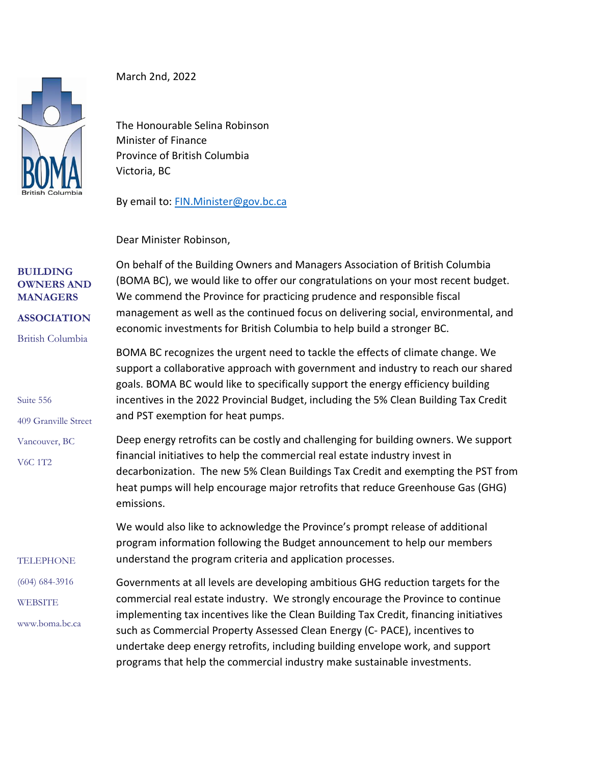

March 2nd, 2022

The Honourable Selina Robinson Minister of Finance Province of British Columbia Victoria, BC

By email to: [FIN.Minister@gov.bc.ca](file:///C:/Users/DamianStathonikos/AppData/Local/Microsoft/Windows/INetCache/Content.Outlook/QPDYG0DP/FIN.Minister@gov.bc.ca)

Dear Minister Robinson,

| <b>BUILDING</b><br><b>OWNERS AND</b><br><b>MANAGERS</b><br><b>ASSOCIATION</b><br><b>British Columbia</b><br>Suite 556<br>409 Granville Street | On behalf of the Building Owners and Managers Association of British Columbia<br>(BOMA BC), we would like to offer our congratulations on your most recent budget.<br>We commend the Province for practicing prudence and responsible fiscal<br>management as well as the continued focus on delivering social, environmental, and<br>economic investments for British Columbia to help build a stronger BC.                                                                                             |
|-----------------------------------------------------------------------------------------------------------------------------------------------|----------------------------------------------------------------------------------------------------------------------------------------------------------------------------------------------------------------------------------------------------------------------------------------------------------------------------------------------------------------------------------------------------------------------------------------------------------------------------------------------------------|
|                                                                                                                                               | BOMA BC recognizes the urgent need to tackle the effects of climate change. We<br>support a collaborative approach with government and industry to reach our shared<br>goals. BOMA BC would like to specifically support the energy efficiency building<br>incentives in the 2022 Provincial Budget, including the 5% Clean Building Tax Credit<br>and PST exemption for heat pumps.                                                                                                                     |
| Vancouver, BC<br><b>V6C 1T2</b>                                                                                                               | Deep energy retrofits can be costly and challenging for building owners. We support<br>financial initiatives to help the commercial real estate industry invest in<br>decarbonization. The new 5% Clean Buildings Tax Credit and exempting the PST from<br>heat pumps will help encourage major retrofits that reduce Greenhouse Gas (GHG)<br>emissions.                                                                                                                                                 |
| <b>TELEPHONE</b>                                                                                                                              | We would also like to acknowledge the Province's prompt release of additional<br>program information following the Budget announcement to help our members<br>understand the program criteria and application processes.                                                                                                                                                                                                                                                                                 |
| $(604)$ 684-3916                                                                                                                              | Governments at all levels are developing ambitious GHG reduction targets for the<br>commercial real estate industry. We strongly encourage the Province to continue<br>implementing tax incentives like the Clean Building Tax Credit, financing initiatives<br>such as Commercial Property Assessed Clean Energy (C- PACE), incentives to<br>undertake deep energy retrofits, including building envelope work, and support<br>programs that help the commercial industry make sustainable investments. |
| <b>WEBSITE</b><br>www.boma.bc.ca                                                                                                              |                                                                                                                                                                                                                                                                                                                                                                                                                                                                                                          |